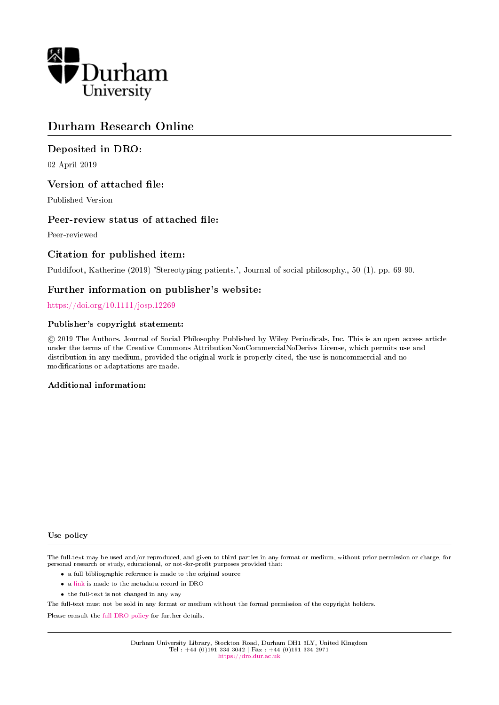

# Durham Research Online

# Deposited in DRO:

02 April 2019

# Version of attached file:

Published Version

# Peer-review status of attached file:

Peer-reviewed

# Citation for published item:

Puddifoot, Katherine (2019) 'Stereotyping patients.', Journal of social philosophy., 50 (1). pp. 69-90.

### Further information on publisher's website:

<https://doi.org/10.1111/josp.12269>

### Publisher's copyright statement:

 c 2019 The Authors. Journal of Social Philosophy Published by Wiley Periodicals, Inc. This is an open access article under the terms of the Creative Commons AttributionNonCommercialNoDerivs License, which permits use and distribution in any medium, provided the original work is properly cited, the use is noncommercial and no modifications or adaptations are made.

### Additional information:

### Use policy

The full-text may be used and/or reproduced, and given to third parties in any format or medium, without prior permission or charge, for personal research or study, educational, or not-for-profit purposes provided that:

- a full bibliographic reference is made to the original source
- a [link](http://dro.dur.ac.uk/26580/) is made to the metadata record in DRO
- the full-text is not changed in any way

The full-text must not be sold in any format or medium without the formal permission of the copyright holders.

Please consult the [full DRO policy](https://dro.dur.ac.uk/policies/usepolicy.pdf) for further details.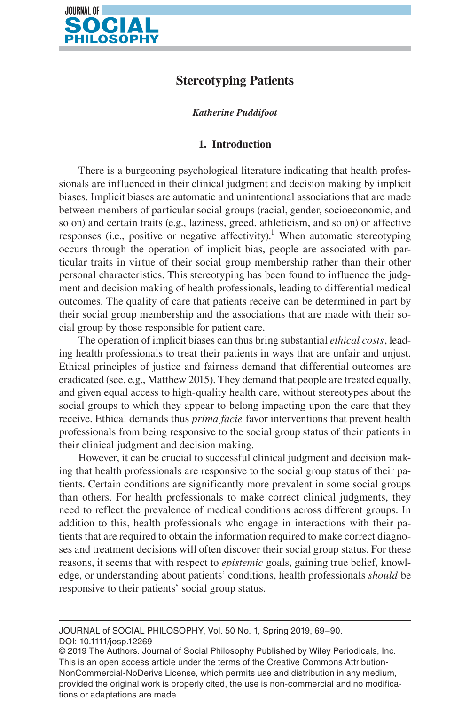

### **Stereotyping Patients**

### *Katherine Puddifoot*

### **1. Introduction**

There is a burgeoning psychological literature indicating that health professionals are influenced in their clinical judgment and decision making by implicit biases. Implicit biases are automatic and unintentional associations that are made between members of particular social groups (racial, gender, socioeconomic, and so on) and certain traits (e.g., laziness, greed, athleticism, and so on) or affective responses (i.e., positive or negative affectivity).<sup>1</sup> When automatic stereotyping occurs through the operation of implicit bias, people are associated with particular traits in virtue of their social group membership rather than their other personal characteristics. This stereotyping has been found to influence the judgment and decision making of health professionals, leading to differential medical outcomes. The quality of care that patients receive can be determined in part by their social group membership and the associations that are made with their social group by those responsible for patient care.

The operation of implicit biases can thus bring substantial *ethical costs*, leading health professionals to treat their patients in ways that are unfair and unjust. Ethical principles of justice and fairness demand that differential outcomes are eradicated (see, e.g., Matthew 2015). They demand that people are treated equally, and given equal access to high-quality health care, without stereotypes about the social groups to which they appear to belong impacting upon the care that they receive. Ethical demands thus *prima facie* favor interventions that prevent health professionals from being responsive to the social group status of their patients in their clinical judgment and decision making.

However, it can be crucial to successful clinical judgment and decision making that health professionals are responsive to the social group status of their patients. Certain conditions are significantly more prevalent in some social groups than others. For health professionals to make correct clinical judgments, they need to reflect the prevalence of medical conditions across different groups. In addition to this, health professionals who engage in interactions with their patients that are required to obtain the information required to make correct diagnoses and treatment decisions will often discover their social group status. For these reasons, it seems that with respect to *epistemic* goals, gaining true belief, knowledge, or understanding about patients' conditions, health professionals *should* be responsive to their patients' social group status.

DOI: 10.1111/josp.12269 JOURNAL of SOCIAL PHILOSOPHY, Vol. 50 No. 1, Spring 2019, 69–90.

© 2019 The Authors. Journal of Social Philosophy Published by Wiley Periodicals, Inc. This is an open access article under the terms of the [Creative Commons Attribution-](http://creativecommons.org/licenses/by-nc-nd/4.0/)[NonCommercial-NoDerivs](http://creativecommons.org/licenses/by-nc-nd/4.0/) License, which permits use and distribution in any medium, provided the original work is properly cited, the use is non-commercial and no modifications or adaptations are made.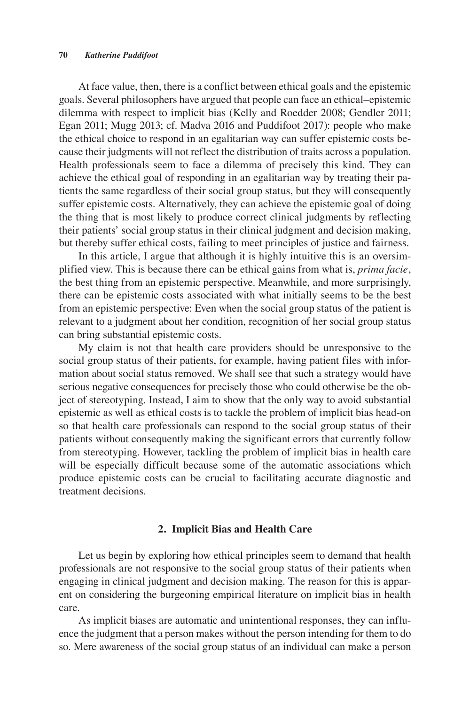At face value, then, there is a conflict between ethical goals and the epistemic goals. Several philosophers have argued that people can face an ethical–epistemic dilemma with respect to implicit bias (Kelly and Roedder 2008; Gendler 2011; Egan 2011; Mugg 2013; cf. Madva 2016 and Puddifoot 2017): people who make the ethical choice to respond in an egalitarian way can suffer epistemic costs because their judgments will not reflect the distribution of traits across a population. Health professionals seem to face a dilemma of precisely this kind. They can achieve the ethical goal of responding in an egalitarian way by treating their patients the same regardless of their social group status, but they will consequently suffer epistemic costs. Alternatively, they can achieve the epistemic goal of doing the thing that is most likely to produce correct clinical judgments by reflecting their patients' social group status in their clinical judgment and decision making, but thereby suffer ethical costs, failing to meet principles of justice and fairness.

In this article, I argue that although it is highly intuitive this is an oversimplified view. This is because there can be ethical gains from what is, *prima facie*, the best thing from an epistemic perspective. Meanwhile, and more surprisingly, there can be epistemic costs associated with what initially seems to be the best from an epistemic perspective: Even when the social group status of the patient is relevant to a judgment about her condition, recognition of her social group status can bring substantial epistemic costs.

My claim is not that health care providers should be unresponsive to the social group status of their patients, for example, having patient files with information about social status removed. We shall see that such a strategy would have serious negative consequences for precisely those who could otherwise be the object of stereotyping. Instead, I aim to show that the only way to avoid substantial epistemic as well as ethical costs is to tackle the problem of implicit bias head-on so that health care professionals can respond to the social group status of their patients without consequently making the significant errors that currently follow from stereotyping. However, tackling the problem of implicit bias in health care will be especially difficult because some of the automatic associations which produce epistemic costs can be crucial to facilitating accurate diagnostic and treatment decisions.

#### **2. Implicit Bias and Health Care**

Let us begin by exploring how ethical principles seem to demand that health professionals are not responsive to the social group status of their patients when engaging in clinical judgment and decision making. The reason for this is apparent on considering the burgeoning empirical literature on implicit bias in health care.

As implicit biases are automatic and unintentional responses, they can influence the judgment that a person makes without the person intending for them to do so. Mere awareness of the social group status of an individual can make a person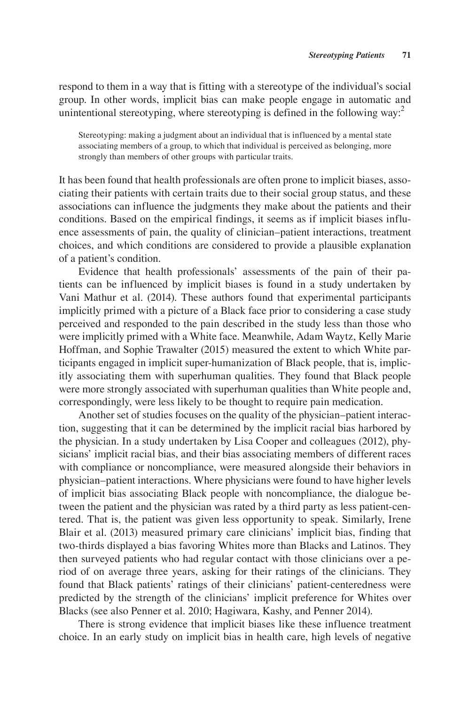respond to them in a way that is fitting with a stereotype of the individual's social group. In other words, implicit bias can make people engage in automatic and unintentional stereotyping, where stereotyping is defined in the following way: $2$ 

Stereotyping: making a judgment about an individual that is influenced by a mental state associating members of a group, to which that individual is perceived as belonging, more strongly than members of other groups with particular traits.

It has been found that health professionals are often prone to implicit biases, associating their patients with certain traits due to their social group status, and these associations can influence the judgments they make about the patients and their conditions. Based on the empirical findings, it seems as if implicit biases influence assessments of pain, the quality of clinician–patient interactions, treatment choices, and which conditions are considered to provide a plausible explanation of a patient's condition.

Evidence that health professionals' assessments of the pain of their patients can be influenced by implicit biases is found in a study undertaken by Vani Mathur et al. (2014). These authors found that experimental participants implicitly primed with a picture of a Black face prior to considering a case study perceived and responded to the pain described in the study less than those who were implicitly primed with a White face. Meanwhile, Adam Waytz, Kelly Marie Hoffman, and Sophie Trawalter (2015) measured the extent to which White participants engaged in implicit super-humanization of Black people, that is, implicitly associating them with superhuman qualities. They found that Black people were more strongly associated with superhuman qualities than White people and, correspondingly, were less likely to be thought to require pain medication.

Another set of studies focuses on the quality of the physician–patient interaction, suggesting that it can be determined by the implicit racial bias harbored by the physician. In a study undertaken by Lisa Cooper and colleagues (2012), physicians' implicit racial bias, and their bias associating members of different races with compliance or noncompliance, were measured alongside their behaviors in physician–patient interactions. Where physicians were found to have higher levels of implicit bias associating Black people with noncompliance, the dialogue between the patient and the physician was rated by a third party as less patient-centered. That is, the patient was given less opportunity to speak. Similarly, Irene Blair et al. (2013) measured primary care clinicians' implicit bias, finding that two-thirds displayed a bias favoring Whites more than Blacks and Latinos. They then surveyed patients who had regular contact with those clinicians over a period of on average three years, asking for their ratings of the clinicians. They found that Black patients' ratings of their clinicians' patient-centeredness were predicted by the strength of the clinicians' implicit preference for Whites over Blacks (see also Penner et al. 2010; Hagiwara, Kashy, and Penner 2014).

There is strong evidence that implicit biases like these influence treatment choice. In an early study on implicit bias in health care, high levels of negative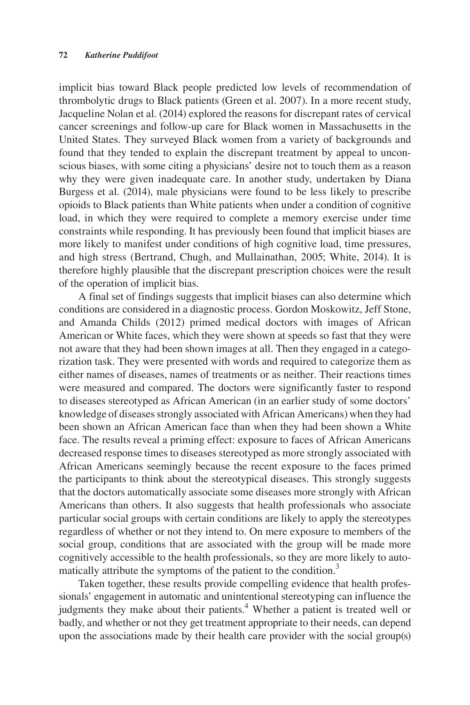implicit bias toward Black people predicted low levels of recommendation of thrombolytic drugs to Black patients (Green et al. 2007). In a more recent study, Jacqueline Nolan et al. (2014) explored the reasons for discrepant rates of cervical cancer screenings and follow-up care for Black women in Massachusetts in the United States. They surveyed Black women from a variety of backgrounds and found that they tended to explain the discrepant treatment by appeal to unconscious biases, with some citing a physicians' desire not to touch them as a reason why they were given inadequate care. In another study, undertaken by Diana Burgess et al. (2014), male physicians were found to be less likely to prescribe opioids to Black patients than White patients when under a condition of cognitive load, in which they were required to complete a memory exercise under time constraints while responding. It has previously been found that implicit biases are more likely to manifest under conditions of high cognitive load, time pressures, and high stress (Bertrand, Chugh, and Mullainathan, 2005; White, 2014). It is therefore highly plausible that the discrepant prescription choices were the result of the operation of implicit bias.

A final set of findings suggests that implicit biases can also determine which conditions are considered in a diagnostic process. Gordon Moskowitz, Jeff Stone, and Amanda Childs (2012) primed medical doctors with images of African American or White faces, which they were shown at speeds so fast that they were not aware that they had been shown images at all. Then they engaged in a categorization task. They were presented with words and required to categorize them as either names of diseases, names of treatments or as neither. Their reactions times were measured and compared. The doctors were significantly faster to respond to diseases stereotyped as African American (in an earlier study of some doctors' knowledge of diseases strongly associated with African Americans) when they had been shown an African American face than when they had been shown a White face. The results reveal a priming effect: exposure to faces of African Americans decreased response times to diseases stereotyped as more strongly associated with African Americans seemingly because the recent exposure to the faces primed the participants to think about the stereotypical diseases. This strongly suggests that the doctors automatically associate some diseases more strongly with African Americans than others. It also suggests that health professionals who associate particular social groups with certain conditions are likely to apply the stereotypes regardless of whether or not they intend to. On mere exposure to members of the social group, conditions that are associated with the group will be made more cognitively accessible to the health professionals, so they are more likely to automatically attribute the symptoms of the patient to the condition.<sup>3</sup>

Taken together, these results provide compelling evidence that health professionals' engagement in automatic and unintentional stereotyping can influence the judgments they make about their patients.<sup>4</sup> Whether a patient is treated well or badly, and whether or not they get treatment appropriate to their needs, can depend upon the associations made by their health care provider with the social group(s)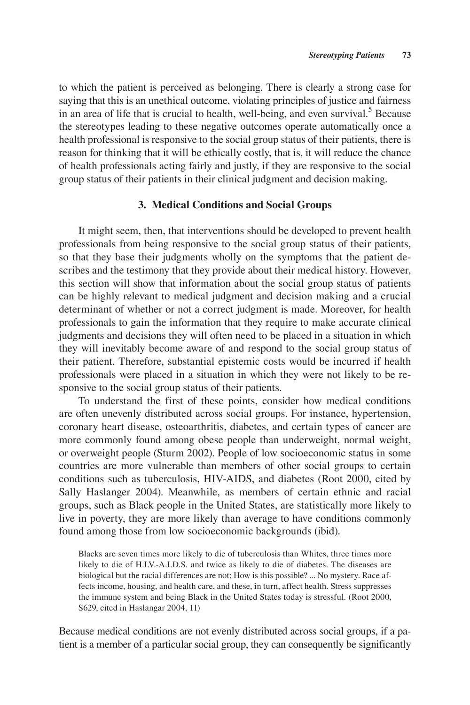to which the patient is perceived as belonging. There is clearly a strong case for saying that this is an unethical outcome, violating principles of justice and fairness in an area of life that is crucial to health, well-being, and even survival.<sup>5</sup> Because the stereotypes leading to these negative outcomes operate automatically once a health professional is responsive to the social group status of their patients, there is reason for thinking that it will be ethically costly, that is, it will reduce the chance of health professionals acting fairly and justly, if they are responsive to the social group status of their patients in their clinical judgment and decision making.

### **3. Medical Conditions and Social Groups**

It might seem, then, that interventions should be developed to prevent health professionals from being responsive to the social group status of their patients, so that they base their judgments wholly on the symptoms that the patient describes and the testimony that they provide about their medical history. However, this section will show that information about the social group status of patients can be highly relevant to medical judgment and decision making and a crucial determinant of whether or not a correct judgment is made. Moreover, for health professionals to gain the information that they require to make accurate clinical judgments and decisions they will often need to be placed in a situation in which they will inevitably become aware of and respond to the social group status of their patient. Therefore, substantial epistemic costs would be incurred if health professionals were placed in a situation in which they were not likely to be responsive to the social group status of their patients.

To understand the first of these points, consider how medical conditions are often unevenly distributed across social groups. For instance, hypertension, coronary heart disease, osteoarthritis, diabetes, and certain types of cancer are more commonly found among obese people than underweight, normal weight, or overweight people (Sturm 2002). People of low socioeconomic status in some countries are more vulnerable than members of other social groups to certain conditions such as tuberculosis, HIV-AIDS, and diabetes (Root 2000, cited by Sally Haslanger 2004). Meanwhile, as members of certain ethnic and racial groups, such as Black people in the United States, are statistically more likely to live in poverty, they are more likely than average to have conditions commonly found among those from low socioeconomic backgrounds (ibid).

Blacks are seven times more likely to die of tuberculosis than Whites, three times more likely to die of H.I.V.-A.I.D.S. and twice as likely to die of diabetes. The diseases are biological but the racial differences are not; How is this possible? ... No mystery. Race affects income, housing, and health care, and these, in turn, affect health. Stress suppresses the immune system and being Black in the United States today is stressful. (Root 2000, S629, cited in Haslangar 2004, 11)

Because medical conditions are not evenly distributed across social groups, if a patient is a member of a particular social group, they can consequently be significantly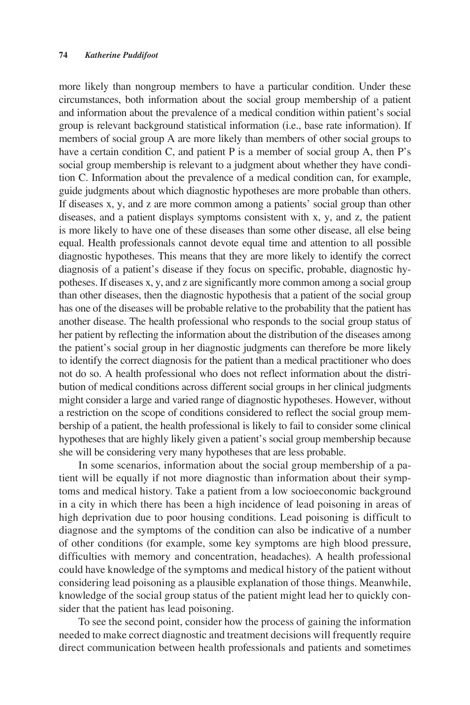#### **74** *Katherine Puddifoot*

more likely than nongroup members to have a particular condition. Under these circumstances, both information about the social group membership of a patient and information about the prevalence of a medical condition within patient's social group is relevant background statistical information (i.e., base rate information). If members of social group A are more likely than members of other social groups to have a certain condition C, and patient P is a member of social group A, then P's social group membership is relevant to a judgment about whether they have condition C. Information about the prevalence of a medical condition can, for example, guide judgments about which diagnostic hypotheses are more probable than others. If diseases x, y, and z are more common among a patients' social group than other diseases, and a patient displays symptoms consistent with x, y, and z, the patient is more likely to have one of these diseases than some other disease, all else being equal. Health professionals cannot devote equal time and attention to all possible diagnostic hypotheses. This means that they are more likely to identify the correct diagnosis of a patient's disease if they focus on specific, probable, diagnostic hypotheses. If diseases x, y, and z are significantly more common among a social group than other diseases, then the diagnostic hypothesis that a patient of the social group has one of the diseases will be probable relative to the probability that the patient has another disease. The health professional who responds to the social group status of her patient by reflecting the information about the distribution of the diseases among the patient's social group in her diagnostic judgments can therefore be more likely to identify the correct diagnosis for the patient than a medical practitioner who does not do so. A health professional who does not reflect information about the distribution of medical conditions across different social groups in her clinical judgments might consider a large and varied range of diagnostic hypotheses. However, without a restriction on the scope of conditions considered to reflect the social group membership of a patient, the health professional is likely to fail to consider some clinical hypotheses that are highly likely given a patient's social group membership because she will be considering very many hypotheses that are less probable.

In some scenarios, information about the social group membership of a patient will be equally if not more diagnostic than information about their symptoms and medical history. Take a patient from a low socioeconomic background in a city in which there has been a high incidence of lead poisoning in areas of high deprivation due to poor housing conditions. Lead poisoning is difficult to diagnose and the symptoms of the condition can also be indicative of a number of other conditions (for example, some key symptoms are high blood pressure, difficulties with memory and concentration, headaches). A health professional could have knowledge of the symptoms and medical history of the patient without considering lead poisoning as a plausible explanation of those things. Meanwhile, knowledge of the social group status of the patient might lead her to quickly consider that the patient has lead poisoning.

To see the second point, consider how the process of gaining the information needed to make correct diagnostic and treatment decisions will frequently require direct communication between health professionals and patients and sometimes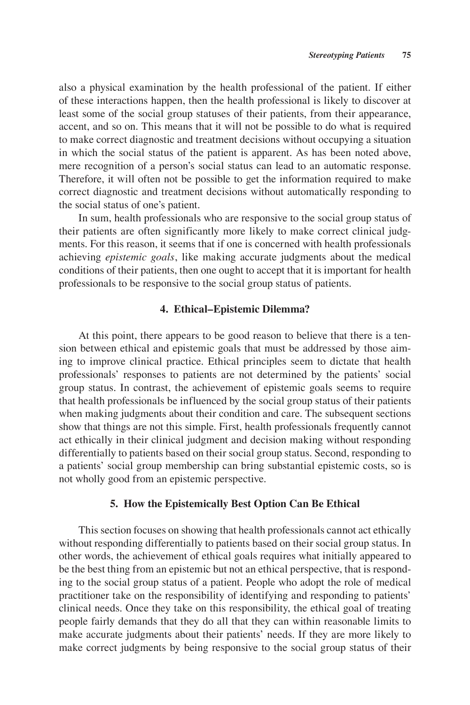also a physical examination by the health professional of the patient. If either of these interactions happen, then the health professional is likely to discover at least some of the social group statuses of their patients, from their appearance, accent, and so on. This means that it will not be possible to do what is required to make correct diagnostic and treatment decisions without occupying a situation in which the social status of the patient is apparent. As has been noted above, mere recognition of a person's social status can lead to an automatic response. Therefore, it will often not be possible to get the information required to make correct diagnostic and treatment decisions without automatically responding to the social status of one's patient.

In sum, health professionals who are responsive to the social group status of their patients are often significantly more likely to make correct clinical judgments. For this reason, it seems that if one is concerned with health professionals achieving *epistemic goals*, like making accurate judgments about the medical conditions of their patients, then one ought to accept that it is important for health professionals to be responsive to the social group status of patients.

#### **4. Ethical–Epistemic Dilemma?**

At this point, there appears to be good reason to believe that there is a tension between ethical and epistemic goals that must be addressed by those aiming to improve clinical practice. Ethical principles seem to dictate that health professionals' responses to patients are not determined by the patients' social group status. In contrast, the achievement of epistemic goals seems to require that health professionals be influenced by the social group status of their patients when making judgments about their condition and care. The subsequent sections show that things are not this simple. First, health professionals frequently cannot act ethically in their clinical judgment and decision making without responding differentially to patients based on their social group status. Second, responding to a patients' social group membership can bring substantial epistemic costs, so is not wholly good from an epistemic perspective.

#### **5. How the Epistemically Best Option Can Be Ethical**

This section focuses on showing that health professionals cannot act ethically without responding differentially to patients based on their social group status. In other words, the achievement of ethical goals requires what initially appeared to be the best thing from an epistemic but not an ethical perspective, that is responding to the social group status of a patient. People who adopt the role of medical practitioner take on the responsibility of identifying and responding to patients' clinical needs. Once they take on this responsibility, the ethical goal of treating people fairly demands that they do all that they can within reasonable limits to make accurate judgments about their patients' needs. If they are more likely to make correct judgments by being responsive to the social group status of their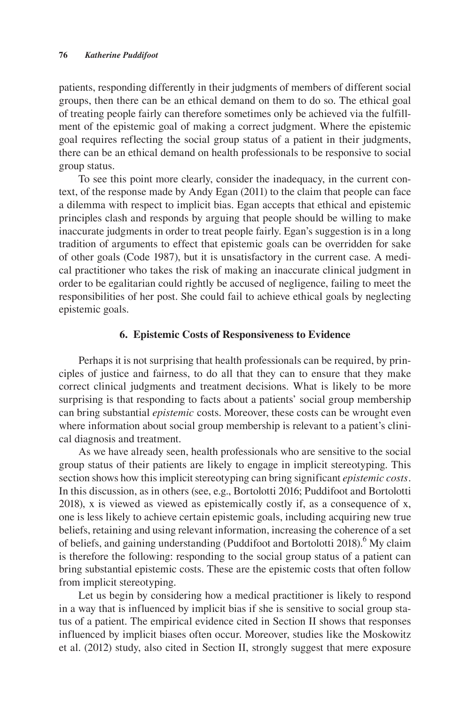patients, responding differently in their judgments of members of different social groups, then there can be an ethical demand on them to do so. The ethical goal of treating people fairly can therefore sometimes only be achieved via the fulfillment of the epistemic goal of making a correct judgment. Where the epistemic goal requires reflecting the social group status of a patient in their judgments, there can be an ethical demand on health professionals to be responsive to social group status.

To see this point more clearly, consider the inadequacy, in the current context, of the response made by Andy Egan (2011) to the claim that people can face a dilemma with respect to implicit bias. Egan accepts that ethical and epistemic principles clash and responds by arguing that people should be willing to make inaccurate judgments in order to treat people fairly. Egan's suggestion is in a long tradition of arguments to effect that epistemic goals can be overridden for sake of other goals (Code 1987), but it is unsatisfactory in the current case. A medical practitioner who takes the risk of making an inaccurate clinical judgment in order to be egalitarian could rightly be accused of negligence, failing to meet the responsibilities of her post. She could fail to achieve ethical goals by neglecting epistemic goals.

### **6. Epistemic Costs of Responsiveness to Evidence**

Perhaps it is not surprising that health professionals can be required, by principles of justice and fairness, to do all that they can to ensure that they make correct clinical judgments and treatment decisions. What is likely to be more surprising is that responding to facts about a patients' social group membership can bring substantial *epistemic* costs. Moreover, these costs can be wrought even where information about social group membership is relevant to a patient's clinical diagnosis and treatment.

As we have already seen, health professionals who are sensitive to the social group status of their patients are likely to engage in implicit stereotyping. This section shows how this implicit stereotyping can bring significant *epistemic costs*. In this discussion, as in others (see, e.g., Bortolotti 2016; Puddifoot and Bortolotti 2018), x is viewed as viewed as epistemically costly if, as a consequence of x, one is less likely to achieve certain epistemic goals, including acquiring new true beliefs, retaining and using relevant information, increasing the coherence of a set of beliefs, and gaining understanding (Puddifoot and Bortolotti 2018).<sup>6</sup> My claim is therefore the following: responding to the social group status of a patient can bring substantial epistemic costs. These are the epistemic costs that often follow from implicit stereotyping.

Let us begin by considering how a medical practitioner is likely to respond in a way that is influenced by implicit bias if she is sensitive to social group status of a patient. The empirical evidence cited in Section II shows that responses influenced by implicit biases often occur. Moreover, studies like the Moskowitz et al. (2012) study, also cited in Section II, strongly suggest that mere exposure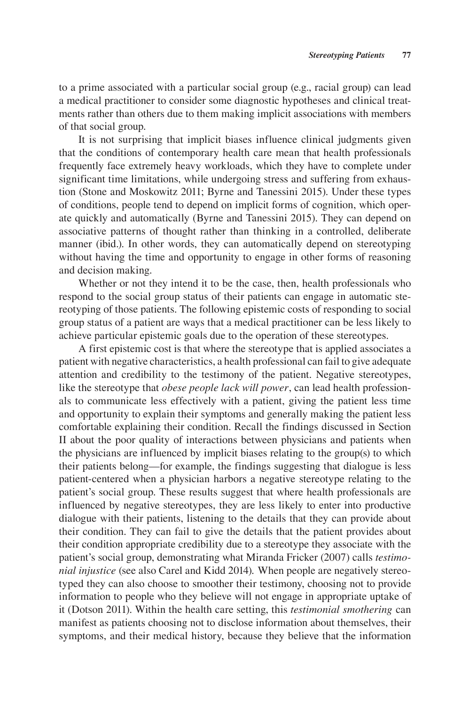to a prime associated with a particular social group (e.g., racial group) can lead a medical practitioner to consider some diagnostic hypotheses and clinical treatments rather than others due to them making implicit associations with members of that social group.

It is not surprising that implicit biases influence clinical judgments given that the conditions of contemporary health care mean that health professionals frequently face extremely heavy workloads, which they have to complete under significant time limitations, while undergoing stress and suffering from exhaustion (Stone and Moskowitz 2011; Byrne and Tanessini 2015). Under these types of conditions, people tend to depend on implicit forms of cognition, which operate quickly and automatically (Byrne and Tanessini 2015). They can depend on associative patterns of thought rather than thinking in a controlled, deliberate manner (ibid.). In other words, they can automatically depend on stereotyping without having the time and opportunity to engage in other forms of reasoning and decision making.

Whether or not they intend it to be the case, then, health professionals who respond to the social group status of their patients can engage in automatic stereotyping of those patients. The following epistemic costs of responding to social group status of a patient are ways that a medical practitioner can be less likely to achieve particular epistemic goals due to the operation of these stereotypes.

A first epistemic cost is that where the stereotype that is applied associates a patient with negative characteristics, a health professional can fail to give adequate attention and credibility to the testimony of the patient. Negative stereotypes, like the stereotype that *obese people lack will power*, can lead health professionals to communicate less effectively with a patient, giving the patient less time and opportunity to explain their symptoms and generally making the patient less comfortable explaining their condition. Recall the findings discussed in Section II about the poor quality of interactions between physicians and patients when the physicians are influenced by implicit biases relating to the group(s) to which their patients belong—for example, the findings suggesting that dialogue is less patient-centered when a physician harbors a negative stereotype relating to the patient's social group. These results suggest that where health professionals are influenced by negative stereotypes, they are less likely to enter into productive dialogue with their patients, listening to the details that they can provide about their condition. They can fail to give the details that the patient provides about their condition appropriate credibility due to a stereotype they associate with the patient's social group, demonstrating what Miranda Fricker (2007) calls *testimonial injustice* (see also Carel and Kidd 2014)*.* When people are negatively stereotyped they can also choose to smoother their testimony, choosing not to provide information to people who they believe will not engage in appropriate uptake of it (Dotson 2011). Within the health care setting, this *testimonial smothering* can manifest as patients choosing not to disclose information about themselves, their symptoms, and their medical history, because they believe that the information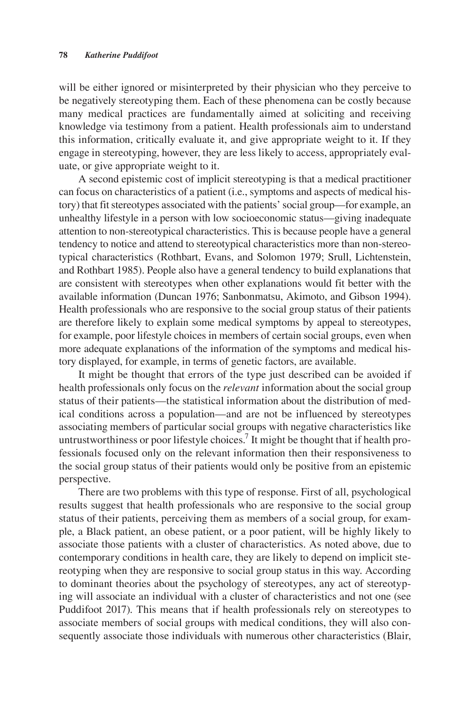will be either ignored or misinterpreted by their physician who they perceive to be negatively stereotyping them. Each of these phenomena can be costly because many medical practices are fundamentally aimed at soliciting and receiving knowledge via testimony from a patient. Health professionals aim to understand this information, critically evaluate it, and give appropriate weight to it. If they engage in stereotyping, however, they are less likely to access, appropriately evaluate, or give appropriate weight to it.

A second epistemic cost of implicit stereotyping is that a medical practitioner can focus on characteristics of a patient (i.e., symptoms and aspects of medical history) that fit stereotypes associated with the patients' social group—for example, an unhealthy lifestyle in a person with low socioeconomic status—giving inadequate attention to non-stereotypical characteristics. This is because people have a general tendency to notice and attend to stereotypical characteristics more than non-stereotypical characteristics (Rothbart, Evans, and Solomon 1979; Srull, Lichtenstein, and Rothbart 1985). People also have a general tendency to build explanations that are consistent with stereotypes when other explanations would fit better with the available information (Duncan 1976; Sanbonmatsu, Akimoto, and Gibson 1994). Health professionals who are responsive to the social group status of their patients are therefore likely to explain some medical symptoms by appeal to stereotypes, for example, poor lifestyle choices in members of certain social groups, even when more adequate explanations of the information of the symptoms and medical history displayed, for example, in terms of genetic factors, are available.

It might be thought that errors of the type just described can be avoided if health professionals only focus on the *relevant* information about the social group status of their patients—the statistical information about the distribution of medical conditions across a population—and are not be influenced by stereotypes associating members of particular social groups with negative characteristics like untrustworthiness or poor lifestyle choices.<sup>7</sup> It might be thought that if health professionals focused only on the relevant information then their responsiveness to the social group status of their patients would only be positive from an epistemic perspective.

There are two problems with this type of response. First of all, psychological results suggest that health professionals who are responsive to the social group status of their patients, perceiving them as members of a social group, for example, a Black patient, an obese patient, or a poor patient, will be highly likely to associate those patients with a cluster of characteristics. As noted above, due to contemporary conditions in health care, they are likely to depend on implicit stereotyping when they are responsive to social group status in this way. According to dominant theories about the psychology of stereotypes, any act of stereotyping will associate an individual with a cluster of characteristics and not one (see Puddifoot 2017). This means that if health professionals rely on stereotypes to associate members of social groups with medical conditions, they will also consequently associate those individuals with numerous other characteristics (Blair,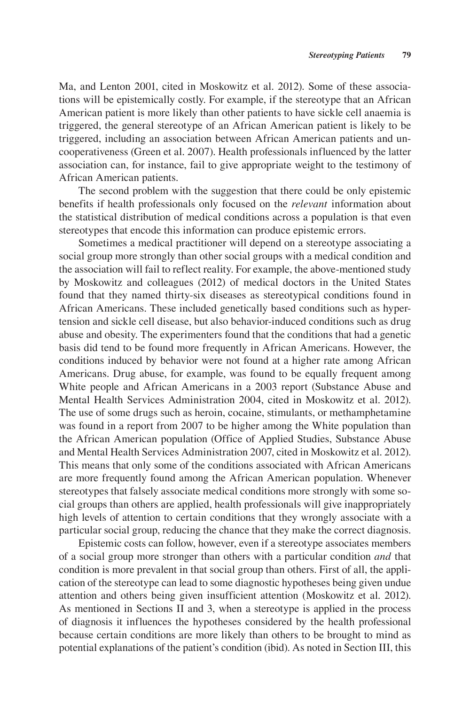Ma, and Lenton 2001, cited in Moskowitz et al. 2012). Some of these associations will be epistemically costly. For example, if the stereotype that an African American patient is more likely than other patients to have sickle cell anaemia is triggered, the general stereotype of an African American patient is likely to be triggered, including an association between African American patients and uncooperativeness (Green et al. 2007). Health professionals influenced by the latter association can, for instance, fail to give appropriate weight to the testimony of African American patients.

The second problem with the suggestion that there could be only epistemic benefits if health professionals only focused on the *relevant* information about the statistical distribution of medical conditions across a population is that even stereotypes that encode this information can produce epistemic errors.

Sometimes a medical practitioner will depend on a stereotype associating a social group more strongly than other social groups with a medical condition and the association will fail to reflect reality. For example, the above-mentioned study by Moskowitz and colleagues (2012) of medical doctors in the United States found that they named thirty-six diseases as stereotypical conditions found in African Americans. These included genetically based conditions such as hypertension and sickle cell disease, but also behavior-induced conditions such as drug abuse and obesity. The experimenters found that the conditions that had a genetic basis did tend to be found more frequently in African Americans. However, the conditions induced by behavior were not found at a higher rate among African Americans. Drug abuse, for example, was found to be equally frequent among White people and African Americans in a 2003 report (Substance Abuse and Mental Health Services Administration 2004, cited in Moskowitz et al. 2012). The use of some drugs such as heroin, cocaine, stimulants, or methamphetamine was found in a report from 2007 to be higher among the White population than the African American population (Office of Applied Studies, Substance Abuse and Mental Health Services Administration 2007, cited in Moskowitz et al. 2012). This means that only some of the conditions associated with African Americans are more frequently found among the African American population. Whenever stereotypes that falsely associate medical conditions more strongly with some social groups than others are applied, health professionals will give inappropriately high levels of attention to certain conditions that they wrongly associate with a particular social group, reducing the chance that they make the correct diagnosis.

Epistemic costs can follow, however, even if a stereotype associates members of a social group more stronger than others with a particular condition *and* that condition is more prevalent in that social group than others. First of all, the application of the stereotype can lead to some diagnostic hypotheses being given undue attention and others being given insufficient attention (Moskowitz et al. 2012). As mentioned in Sections II and 3, when a stereotype is applied in the process of diagnosis it influences the hypotheses considered by the health professional because certain conditions are more likely than others to be brought to mind as potential explanations of the patient's condition (ibid). As noted in Section III, this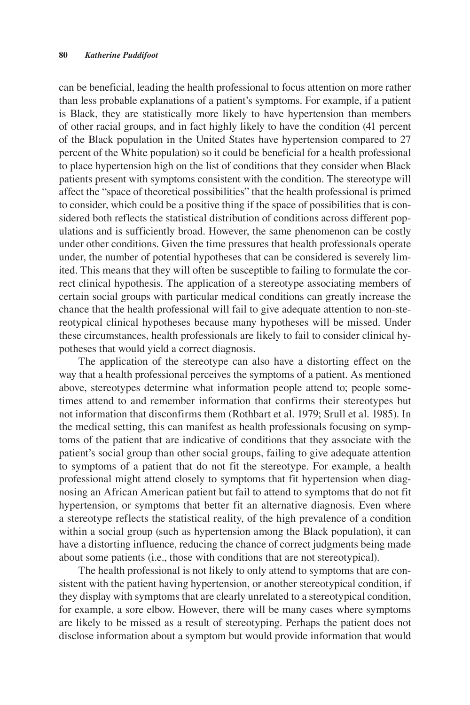can be beneficial, leading the health professional to focus attention on more rather than less probable explanations of a patient's symptoms. For example, if a patient is Black, they are statistically more likely to have hypertension than members of other racial groups, and in fact highly likely to have the condition (41 percent of the Black population in the United States have hypertension compared to 27 percent of the White population) so it could be beneficial for a health professional to place hypertension high on the list of conditions that they consider when Black patients present with symptoms consistent with the condition. The stereotype will affect the "space of theoretical possibilities" that the health professional is primed to consider, which could be a positive thing if the space of possibilities that is considered both reflects the statistical distribution of conditions across different populations and is sufficiently broad. However, the same phenomenon can be costly under other conditions. Given the time pressures that health professionals operate under, the number of potential hypotheses that can be considered is severely limited. This means that they will often be susceptible to failing to formulate the correct clinical hypothesis. The application of a stereotype associating members of certain social groups with particular medical conditions can greatly increase the chance that the health professional will fail to give adequate attention to non-stereotypical clinical hypotheses because many hypotheses will be missed. Under these circumstances, health professionals are likely to fail to consider clinical hypotheses that would yield a correct diagnosis.

The application of the stereotype can also have a distorting effect on the way that a health professional perceives the symptoms of a patient. As mentioned above, stereotypes determine what information people attend to; people sometimes attend to and remember information that confirms their stereotypes but not information that disconfirms them (Rothbart et al. 1979; Srull et al. 1985). In the medical setting, this can manifest as health professionals focusing on symptoms of the patient that are indicative of conditions that they associate with the patient's social group than other social groups, failing to give adequate attention to symptoms of a patient that do not fit the stereotype. For example, a health professional might attend closely to symptoms that fit hypertension when diagnosing an African American patient but fail to attend to symptoms that do not fit hypertension, or symptoms that better fit an alternative diagnosis. Even where a stereotype reflects the statistical reality, of the high prevalence of a condition within a social group (such as hypertension among the Black population), it can have a distorting influence, reducing the chance of correct judgments being made about some patients (i.e., those with conditions that are not stereotypical).

The health professional is not likely to only attend to symptoms that are consistent with the patient having hypertension, or another stereotypical condition, if they display with symptoms that are clearly unrelated to a stereotypical condition, for example, a sore elbow. However, there will be many cases where symptoms are likely to be missed as a result of stereotyping. Perhaps the patient does not disclose information about a symptom but would provide information that would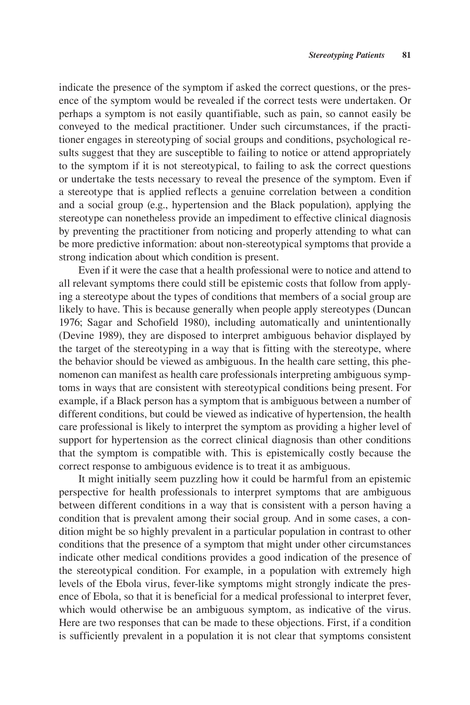indicate the presence of the symptom if asked the correct questions, or the presence of the symptom would be revealed if the correct tests were undertaken. Or perhaps a symptom is not easily quantifiable, such as pain, so cannot easily be conveyed to the medical practitioner. Under such circumstances, if the practitioner engages in stereotyping of social groups and conditions, psychological results suggest that they are susceptible to failing to notice or attend appropriately to the symptom if it is not stereotypical, to failing to ask the correct questions or undertake the tests necessary to reveal the presence of the symptom. Even if a stereotype that is applied reflects a genuine correlation between a condition and a social group (e.g., hypertension and the Black population), applying the stereotype can nonetheless provide an impediment to effective clinical diagnosis by preventing the practitioner from noticing and properly attending to what can be more predictive information: about non-stereotypical symptoms that provide a strong indication about which condition is present.

Even if it were the case that a health professional were to notice and attend to all relevant symptoms there could still be epistemic costs that follow from applying a stereotype about the types of conditions that members of a social group are likely to have. This is because generally when people apply stereotypes (Duncan 1976; Sagar and Schofield 1980), including automatically and unintentionally (Devine 1989), they are disposed to interpret ambiguous behavior displayed by the target of the stereotyping in a way that is fitting with the stereotype, where the behavior should be viewed as ambiguous. In the health care setting, this phenomenon can manifest as health care professionals interpreting ambiguous symptoms in ways that are consistent with stereotypical conditions being present. For example, if a Black person has a symptom that is ambiguous between a number of different conditions, but could be viewed as indicative of hypertension, the health care professional is likely to interpret the symptom as providing a higher level of support for hypertension as the correct clinical diagnosis than other conditions that the symptom is compatible with. This is epistemically costly because the correct response to ambiguous evidence is to treat it as ambiguous.

It might initially seem puzzling how it could be harmful from an epistemic perspective for health professionals to interpret symptoms that are ambiguous between different conditions in a way that is consistent with a person having a condition that is prevalent among their social group. And in some cases, a condition might be so highly prevalent in a particular population in contrast to other conditions that the presence of a symptom that might under other circumstances indicate other medical conditions provides a good indication of the presence of the stereotypical condition. For example, in a population with extremely high levels of the Ebola virus, fever-like symptoms might strongly indicate the presence of Ebola, so that it is beneficial for a medical professional to interpret fever, which would otherwise be an ambiguous symptom, as indicative of the virus. Here are two responses that can be made to these objections. First, if a condition is sufficiently prevalent in a population it is not clear that symptoms consistent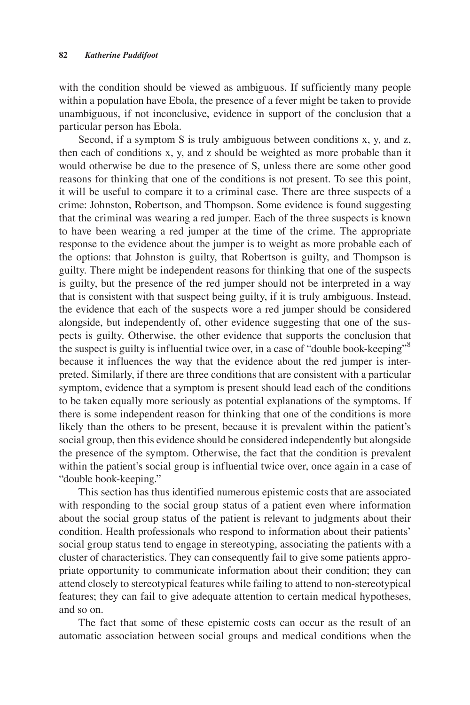with the condition should be viewed as ambiguous. If sufficiently many people within a population have Ebola, the presence of a fever might be taken to provide unambiguous, if not inconclusive, evidence in support of the conclusion that a particular person has Ebola.

Second, if a symptom S is truly ambiguous between conditions x, y, and z, then each of conditions x, y, and z should be weighted as more probable than it would otherwise be due to the presence of S, unless there are some other good reasons for thinking that one of the conditions is not present. To see this point, it will be useful to compare it to a criminal case. There are three suspects of a crime: Johnston, Robertson, and Thompson. Some evidence is found suggesting that the criminal was wearing a red jumper. Each of the three suspects is known to have been wearing a red jumper at the time of the crime. The appropriate response to the evidence about the jumper is to weight as more probable each of the options: that Johnston is guilty, that Robertson is guilty, and Thompson is guilty. There might be independent reasons for thinking that one of the suspects is guilty, but the presence of the red jumper should not be interpreted in a way that is consistent with that suspect being guilty, if it is truly ambiguous. Instead, the evidence that each of the suspects wore a red jumper should be considered alongside, but independently of, other evidence suggesting that one of the suspects is guilty. Otherwise, the other evidence that supports the conclusion that the suspect is guilty is influential twice over, in a case of "double book-keeping"<sup>8</sup> because it influences the way that the evidence about the red jumper is interpreted. Similarly, if there are three conditions that are consistent with a particular symptom, evidence that a symptom is present should lead each of the conditions to be taken equally more seriously as potential explanations of the symptoms. If there is some independent reason for thinking that one of the conditions is more likely than the others to be present, because it is prevalent within the patient's social group, then this evidence should be considered independently but alongside the presence of the symptom. Otherwise, the fact that the condition is prevalent within the patient's social group is influential twice over, once again in a case of "double book-keeping."

This section has thus identified numerous epistemic costs that are associated with responding to the social group status of a patient even where information about the social group status of the patient is relevant to judgments about their condition. Health professionals who respond to information about their patients' social group status tend to engage in stereotyping, associating the patients with a cluster of characteristics. They can consequently fail to give some patients appropriate opportunity to communicate information about their condition; they can attend closely to stereotypical features while failing to attend to non-stereotypical features; they can fail to give adequate attention to certain medical hypotheses, and so on.

The fact that some of these epistemic costs can occur as the result of an automatic association between social groups and medical conditions when the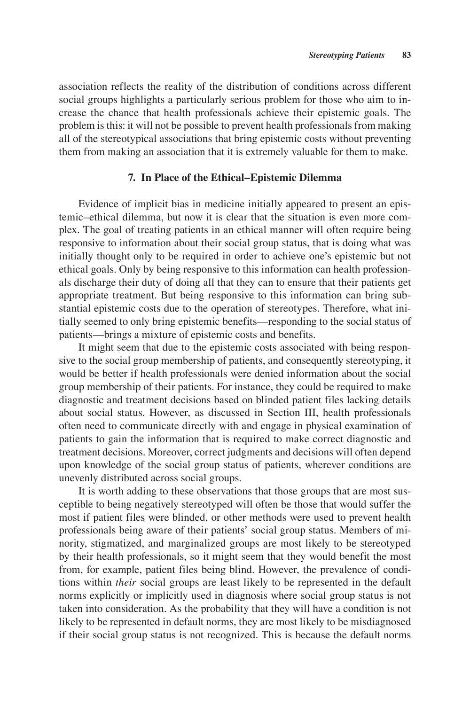association reflects the reality of the distribution of conditions across different social groups highlights a particularly serious problem for those who aim to increase the chance that health professionals achieve their epistemic goals. The problem is this: it will not be possible to prevent health professionals from making all of the stereotypical associations that bring epistemic costs without preventing them from making an association that it is extremely valuable for them to make.

#### **7. In Place of the Ethical–Epistemic Dilemma**

Evidence of implicit bias in medicine initially appeared to present an epistemic–ethical dilemma, but now it is clear that the situation is even more complex. The goal of treating patients in an ethical manner will often require being responsive to information about their social group status, that is doing what was initially thought only to be required in order to achieve one's epistemic but not ethical goals. Only by being responsive to this information can health professionals discharge their duty of doing all that they can to ensure that their patients get appropriate treatment. But being responsive to this information can bring substantial epistemic costs due to the operation of stereotypes. Therefore, what initially seemed to only bring epistemic benefits—responding to the social status of patients—brings a mixture of epistemic costs and benefits.

It might seem that due to the epistemic costs associated with being responsive to the social group membership of patients, and consequently stereotyping, it would be better if health professionals were denied information about the social group membership of their patients. For instance, they could be required to make diagnostic and treatment decisions based on blinded patient files lacking details about social status. However, as discussed in Section III, health professionals often need to communicate directly with and engage in physical examination of patients to gain the information that is required to make correct diagnostic and treatment decisions. Moreover, correct judgments and decisions will often depend upon knowledge of the social group status of patients, wherever conditions are unevenly distributed across social groups.

It is worth adding to these observations that those groups that are most susceptible to being negatively stereotyped will often be those that would suffer the most if patient files were blinded, or other methods were used to prevent health professionals being aware of their patients' social group status. Members of minority, stigmatized, and marginalized groups are most likely to be stereotyped by their health professionals, so it might seem that they would benefit the most from, for example, patient files being blind. However, the prevalence of conditions within *their* social groups are least likely to be represented in the default norms explicitly or implicitly used in diagnosis where social group status is not taken into consideration. As the probability that they will have a condition is not likely to be represented in default norms, they are most likely to be misdiagnosed if their social group status is not recognized. This is because the default norms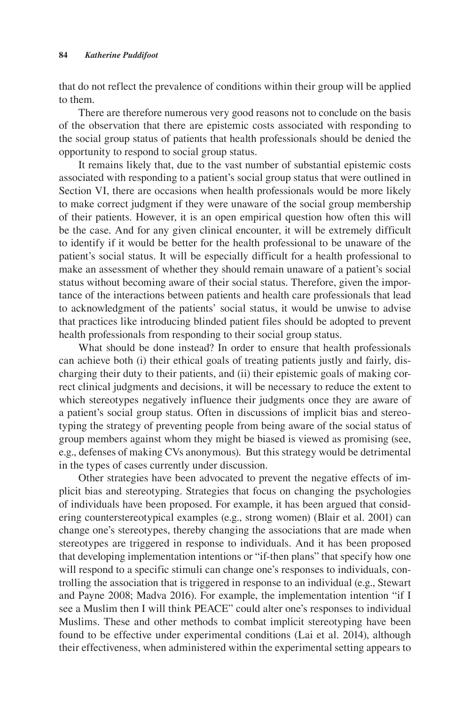that do not reflect the prevalence of conditions within their group will be applied to them.

There are therefore numerous very good reasons not to conclude on the basis of the observation that there are epistemic costs associated with responding to the social group status of patients that health professionals should be denied the opportunity to respond to social group status.

It remains likely that, due to the vast number of substantial epistemic costs associated with responding to a patient's social group status that were outlined in Section VI, there are occasions when health professionals would be more likely to make correct judgment if they were unaware of the social group membership of their patients. However, it is an open empirical question how often this will be the case. And for any given clinical encounter, it will be extremely difficult to identify if it would be better for the health professional to be unaware of the patient's social status. It will be especially difficult for a health professional to make an assessment of whether they should remain unaware of a patient's social status without becoming aware of their social status. Therefore, given the importance of the interactions between patients and health care professionals that lead to acknowledgment of the patients' social status, it would be unwise to advise that practices like introducing blinded patient files should be adopted to prevent health professionals from responding to their social group status.

What should be done instead? In order to ensure that health professionals can achieve both (i) their ethical goals of treating patients justly and fairly, discharging their duty to their patients, and (ii) their epistemic goals of making correct clinical judgments and decisions, it will be necessary to reduce the extent to which stereotypes negatively influence their judgments once they are aware of a patient's social group status. Often in discussions of implicit bias and stereotyping the strategy of preventing people from being aware of the social status of group members against whom they might be biased is viewed as promising (see, e.g., defenses of making CVs anonymous). But this strategy would be detrimental in the types of cases currently under discussion.

Other strategies have been advocated to prevent the negative effects of implicit bias and stereotyping. Strategies that focus on changing the psychologies of individuals have been proposed. For example, it has been argued that considering counterstereotypical examples (e.g., strong women) (Blair et al. 2001) can change one's stereotypes, thereby changing the associations that are made when stereotypes are triggered in response to individuals. And it has been proposed that developing implementation intentions or "if-then plans" that specify how one will respond to a specific stimuli can change one's responses to individuals, controlling the association that is triggered in response to an individual (e.g., Stewart and Payne 2008; Madva 2016). For example, the implementation intention "if I see a Muslim then I will think PEACE" could alter one's responses to individual Muslims. These and other methods to combat implicit stereotyping have been found to be effective under experimental conditions (Lai et al. 2014), although their effectiveness, when administered within the experimental setting appears to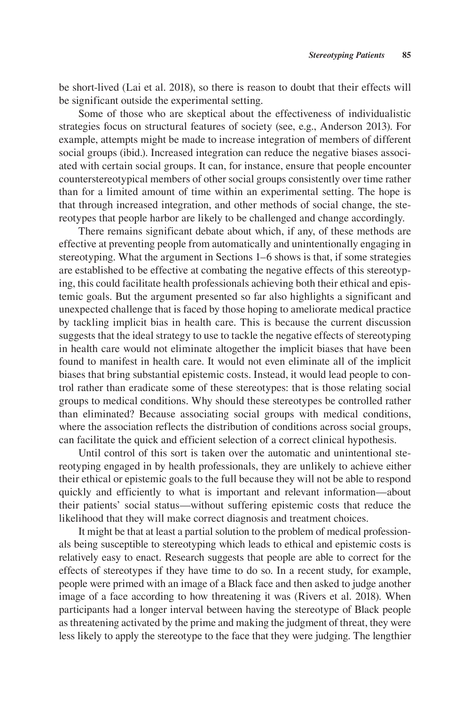be short-lived (Lai et al. 2018), so there is reason to doubt that their effects will be significant outside the experimental setting.

Some of those who are skeptical about the effectiveness of individualistic strategies focus on structural features of society (see, e.g., Anderson 2013). For example, attempts might be made to increase integration of members of different social groups (ibid.). Increased integration can reduce the negative biases associated with certain social groups. It can, for instance, ensure that people encounter counterstereotypical members of other social groups consistently over time rather than for a limited amount of time within an experimental setting. The hope is that through increased integration, and other methods of social change, the stereotypes that people harbor are likely to be challenged and change accordingly.

There remains significant debate about which, if any, of these methods are effective at preventing people from automatically and unintentionally engaging in stereotyping. What the argument in Sections 1–6 shows is that, if some strategies are established to be effective at combating the negative effects of this stereotyping, this could facilitate health professionals achieving both their ethical and epistemic goals. But the argument presented so far also highlights a significant and unexpected challenge that is faced by those hoping to ameliorate medical practice by tackling implicit bias in health care. This is because the current discussion suggests that the ideal strategy to use to tackle the negative effects of stereotyping in health care would not eliminate altogether the implicit biases that have been found to manifest in health care. It would not even eliminate all of the implicit biases that bring substantial epistemic costs. Instead, it would lead people to control rather than eradicate some of these stereotypes: that is those relating social groups to medical conditions. Why should these stereotypes be controlled rather than eliminated? Because associating social groups with medical conditions, where the association reflects the distribution of conditions across social groups, can facilitate the quick and efficient selection of a correct clinical hypothesis.

Until control of this sort is taken over the automatic and unintentional stereotyping engaged in by health professionals, they are unlikely to achieve either their ethical or epistemic goals to the full because they will not be able to respond quickly and efficiently to what is important and relevant information—about their patients' social status—without suffering epistemic costs that reduce the likelihood that they will make correct diagnosis and treatment choices.

It might be that at least a partial solution to the problem of medical professionals being susceptible to stereotyping which leads to ethical and epistemic costs is relatively easy to enact. Research suggests that people are able to correct for the effects of stereotypes if they have time to do so. In a recent study, for example, people were primed with an image of a Black face and then asked to judge another image of a face according to how threatening it was (Rivers et al. 2018). When participants had a longer interval between having the stereotype of Black people as threatening activated by the prime and making the judgment of threat, they were less likely to apply the stereotype to the face that they were judging. The lengthier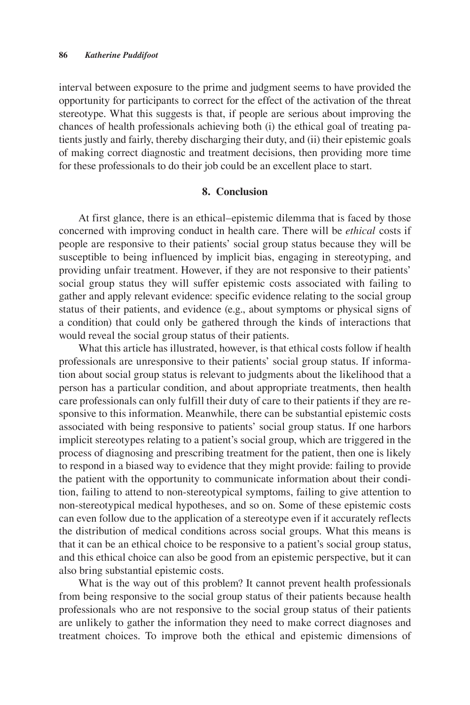interval between exposure to the prime and judgment seems to have provided the opportunity for participants to correct for the effect of the activation of the threat stereotype. What this suggests is that, if people are serious about improving the chances of health professionals achieving both (i) the ethical goal of treating patients justly and fairly, thereby discharging their duty, and (ii) their epistemic goals of making correct diagnostic and treatment decisions, then providing more time for these professionals to do their job could be an excellent place to start.

#### **8. Conclusion**

At first glance, there is an ethical–epistemic dilemma that is faced by those concerned with improving conduct in health care. There will be *ethical* costs if people are responsive to their patients' social group status because they will be susceptible to being influenced by implicit bias, engaging in stereotyping, and providing unfair treatment. However, if they are not responsive to their patients' social group status they will suffer epistemic costs associated with failing to gather and apply relevant evidence: specific evidence relating to the social group status of their patients, and evidence (e.g., about symptoms or physical signs of a condition) that could only be gathered through the kinds of interactions that would reveal the social group status of their patients.

What this article has illustrated, however, is that ethical costs follow if health professionals are unresponsive to their patients' social group status. If information about social group status is relevant to judgments about the likelihood that a person has a particular condition, and about appropriate treatments, then health care professionals can only fulfill their duty of care to their patients if they are responsive to this information. Meanwhile, there can be substantial epistemic costs associated with being responsive to patients' social group status. If one harbors implicit stereotypes relating to a patient's social group, which are triggered in the process of diagnosing and prescribing treatment for the patient, then one is likely to respond in a biased way to evidence that they might provide: failing to provide the patient with the opportunity to communicate information about their condition, failing to attend to non-stereotypical symptoms, failing to give attention to non-stereotypical medical hypotheses, and so on. Some of these epistemic costs can even follow due to the application of a stereotype even if it accurately reflects the distribution of medical conditions across social groups. What this means is that it can be an ethical choice to be responsive to a patient's social group status, and this ethical choice can also be good from an epistemic perspective, but it can also bring substantial epistemic costs.

What is the way out of this problem? It cannot prevent health professionals from being responsive to the social group status of their patients because health professionals who are not responsive to the social group status of their patients are unlikely to gather the information they need to make correct diagnoses and treatment choices. To improve both the ethical and epistemic dimensions of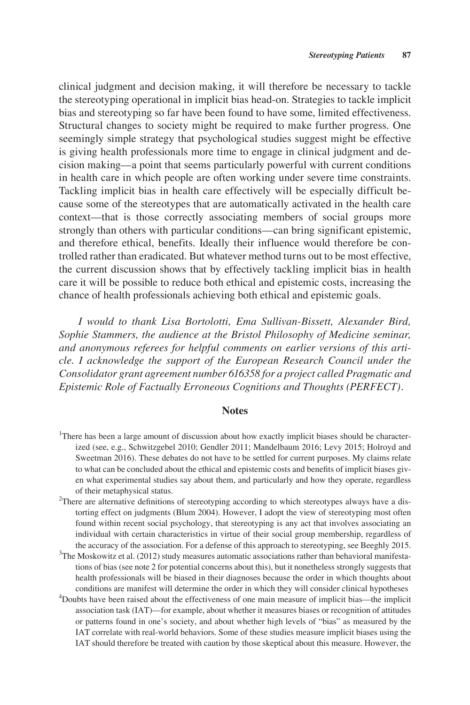clinical judgment and decision making, it will therefore be necessary to tackle the stereotyping operational in implicit bias head-on. Strategies to tackle implicit bias and stereotyping so far have been found to have some, limited effectiveness. Structural changes to society might be required to make further progress. One seemingly simple strategy that psychological studies suggest might be effective is giving health professionals more time to engage in clinical judgment and decision making—a point that seems particularly powerful with current conditions in health care in which people are often working under severe time constraints. Tackling implicit bias in health care effectively will be especially difficult because some of the stereotypes that are automatically activated in the health care context—that is those correctly associating members of social groups more strongly than others with particular conditions—can bring significant epistemic, and therefore ethical, benefits. Ideally their influence would therefore be controlled rather than eradicated. But whatever method turns out to be most effective, the current discussion shows that by effectively tackling implicit bias in health care it will be possible to reduce both ethical and epistemic costs, increasing the chance of health professionals achieving both ethical and epistemic goals.

*I would to thank Lisa Bortolotti, Ema Sullivan-Bissett, Alexander Bird, Sophie Stammers, the audience at the Bristol Philosophy of Medicine seminar, and anonymous referees for helpful comments on earlier versions of this article. I acknowledge the support of the European Research Council under the Consolidator grant agreement number 616358 for a project called Pragmatic and Epistemic Role of Factually Erroneous Cognitions and Thoughts (PERFECT)*.

#### **Notes**

- <sup>1</sup>There has been a large amount of discussion about how exactly implicit biases should be characterized (see, e.g., Schwitzgebel 2010; Gendler 2011; Mandelbaum 2016; Levy 2015; Holroyd and Sweetman 2016). These debates do not have to be settled for current purposes. My claims relate to what can be concluded about the ethical and epistemic costs and benefits of implicit biases given what experimental studies say about them, and particularly and how they operate, regardless of their metaphysical status.
- $2$ There are alternative definitions of stereotyping according to which stereotypes always have a distorting effect on judgments (Blum 2004). However, I adopt the view of stereotyping most often found within recent social psychology, that stereotyping is any act that involves associating an individual with certain characteristics in virtue of their social group membership, regardless of the accuracy of the association. For a defense of this approach to stereotyping, see Beeghly 2015.
- $3$ The Moskowitz et al. (2012) study measures automatic associations rather than behavioral manifestations of bias (see note 2 for potential concerns about this), but it nonetheless strongly suggests that health professionals will be biased in their diagnoses because the order in which thoughts about conditions are manifest will determine the order in which they will consider clinical hypotheses
- 4 Doubts have been raised about the effectiveness of one main measure of implicit bias—the implicit association task (IAT)—for example, about whether it measures biases or recognition of attitudes or patterns found in one's society, and about whether high levels of "bias" as measured by the IAT correlate with real-world behaviors. Some of these studies measure implicit biases using the IAT should therefore be treated with caution by those skeptical about this measure. However, the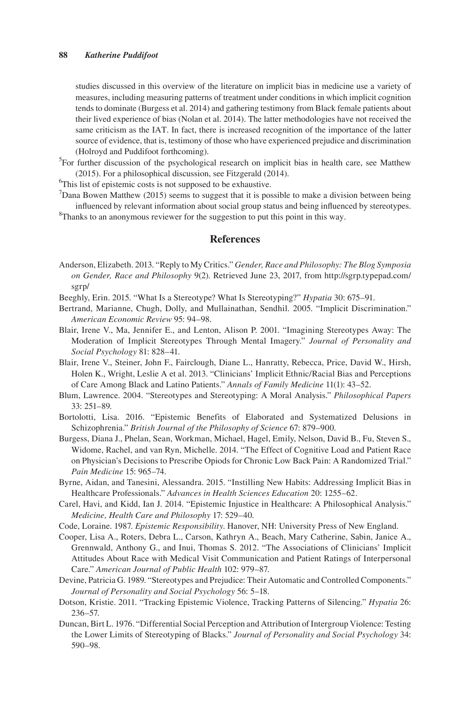#### **88** *Katherine Puddifoot*

studies discussed in this overview of the literature on implicit bias in medicine use a variety of measures, including measuring patterns of treatment under conditions in which implicit cognition tends to dominate (Burgess et al. 2014) and gathering testimony from Black female patients about their lived experience of bias (Nolan et al. 2014). The latter methodologies have not received the same criticism as the IAT. In fact, there is increased recognition of the importance of the latter source of evidence, that is, testimony of those who have experienced prejudice and discrimination (Holroyd and Puddifoot forthcoming).

<sup>5</sup>For further discussion of the psychological research on implicit bias in health care, see Matthew (2015). For a philosophical discussion, see Fitzgerald (2014).

<sup>6</sup>This list of epistemic costs is not supposed to be exhaustive.

 $7$ Dana Bowen Matthew (2015) seems to suggest that it is possible to make a division between being influenced by relevant information about social group status and being influenced by stereotypes. <sup>8</sup>Thanks to an anonymous reviewer for the suggestion to put this point in this way.

#### **References**

- Anderson, Elizabeth. 2013. "Reply to My Critics." *Gender, Race and Philosophy: The Blog Symposia on Gender, Race and Philosophy* 9(2). Retrieved June 23, 2017, from [http://sgrp.typepad.com/](http://sgrp.typepad.com/sgrp/) [sgrp/](http://sgrp.typepad.com/sgrp/)
- Beeghly, Erin. 2015. "What Is a Stereotype? What Is Stereotyping?" *Hypatia* 30: 675–91.
- Bertrand, Marianne, Chugh, Dolly, and Mullainathan, Sendhil. 2005. "Implicit Discrimination." *American Economic Review* 95: 94–98.
- Blair, Irene V., Ma, Jennifer E., and Lenton, Alison P. 2001. "Imagining Stereotypes Away: The Moderation of Implicit Stereotypes Through Mental Imagery." *Journal of Personality and Social Psychology* 81: 828–41.
- Blair, Irene V., Steiner, John F., Fairclough, Diane L., Hanratty, Rebecca, Price, David W., Hirsh, Holen K., Wright, Leslie A et al. 2013. "Clinicians' Implicit Ethnic/Racial Bias and Perceptions of Care Among Black and Latino Patients." *Annals of Family Medicine* 11(1): 43–52.
- Blum, Lawrence. 2004. "Stereotypes and Stereotyping: A Moral Analysis." *Philosophical Papers* 33: 251–89.
- Bortolotti, Lisa. 2016. "Epistemic Benefits of Elaborated and Systematized Delusions in Schizophrenia." *British Journal of the Philosophy of Science* 67: 879–900.
- Burgess, Diana J., Phelan, Sean, Workman, Michael, Hagel, Emily, Nelson, David B., Fu, Steven S., Widome, Rachel, and van Ryn, Michelle. 2014. "The Effect of Cognitive Load and Patient Race on Physician's Decisions to Prescribe Opiods for Chronic Low Back Pain: A Randomized Trial." *Pain Medicine* 15: 965–74.
- Byrne, Aidan, and Tanesini, Alessandra. 2015. "Instilling New Habits: Addressing Implicit Bias in Healthcare Professionals." *Advances in Health Sciences Education* 20: 1255–62.
- Carel, Havi, and Kidd, Ian J. 2014. "Epistemic Injustice in Healthcare: A Philosophical Analysis." *Medicine, Health Care and Philosophy* 17: 529–40.
- Code, Loraine. 1987. *Epistemic Responsibility*. Hanover, NH: University Press of New England.
- Cooper, Lisa A., Roters, Debra L., Carson, Kathryn A., Beach, Mary Catherine, Sabin, Janice A., Grennwald, Anthony G., and Inui, Thomas S. 2012. "The Associations of Clinicians' Implicit Attitudes About Race with Medical Visit Communication and Patient Ratings of Interpersonal Care." *American Journal of Public Health* 102: 979–87.
- Devine, Patricia G. 1989. "Stereotypes and Prejudice: Their Automatic and Controlled Components." *Journal of Personality and Social Psychology* 56: 5–18.
- Dotson, Kristie. 2011. "Tracking Epistemic Violence, Tracking Patterns of Silencing." *Hypatia* 26: 236–57.
- Duncan, Birt L. 1976. "Differential Social Perception and Attribution of Intergroup Violence: Testing the Lower Limits of Stereotyping of Blacks." *Journal of Personality and Social Psychology* 34: 590–98.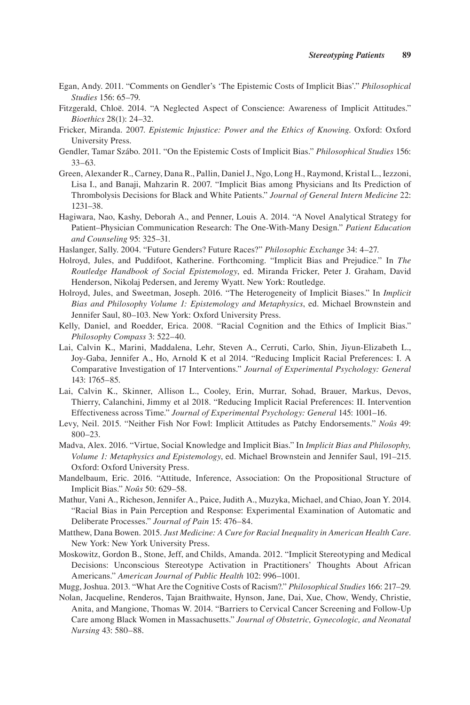- Egan, Andy. 2011. "Comments on Gendler's 'The Epistemic Costs of Implicit Bias'." *Philosophical Studies* 156: 65–79.
- Fitzgerald, Chloë. 2014. "A Neglected Aspect of Conscience: Awareness of Implicit Attitudes." *Bioethics* 28(1): 24–32.
- Fricker, Miranda. 2007. *Epistemic Injustice: Power and the Ethics of Knowing*. Oxford: Oxford University Press.
- Gendler, Tamar Szábo. 2011. "On the Epistemic Costs of Implicit Bias." *Philosophical Studies* 156: 33–63.
- Green, Alexander R., Carney, Dana R., Pallin, Daniel J., Ngo, Long H., Raymond, Kristal L., Iezzoni, Lisa I., and Banaji, Mahzarin R. 2007. "Implicit Bias among Physicians and Its Prediction of Thrombolysis Decisions for Black and White Patients." *Journal of General Intern Medicine* 22: 1231–38.
- Hagiwara, Nao, Kashy, Deborah A., and Penner, Louis A. 2014. "A Novel Analytical Strategy for Patient–Physician Communication Research: The One-With-Many Design." *Patient Education and Counseling* 95: 325–31.
- Haslanger, Sally. 2004. "Future Genders? Future Races?" *Philosophic Exchange* 34: 4–27.
- Holroyd, Jules, and Puddifoot, Katherine. Forthcoming. "Implicit Bias and Prejudice." In *The Routledge Handbook of Social Epistemology*, ed. Miranda Fricker, Peter J. Graham, David Henderson, Nikolaj Pedersen, and Jeremy Wyatt. New York: Routledge.
- Holroyd, Jules, and Sweetman, Joseph. 2016. "The Heterogeneity of Implicit Biases." In *Implicit Bias and Philosophy Volume 1: Epistemology and Metaphysics*, ed. Michael Brownstein and Jennifer Saul, 80–103. New York: Oxford University Press.
- Kelly, Daniel, and Roedder, Erica. 2008. "Racial Cognition and the Ethics of Implicit Bias." *Philosophy Compass* 3: 522–40.
- Lai, Calvin K., Marini, Maddalena, Lehr, Steven A., Cerruti, Carlo, Shin, Jiyun-Elizabeth L., Joy-Gaba, Jennifer A., Ho, Arnold K et al 2014. "Reducing Implicit Racial Preferences: I. A Comparative Investigation of 17 Interventions." *Journal of Experimental Psychology: General* 143: 1765–85.
- Lai, Calvin K., Skinner, Allison L., Cooley, Erin, Murrar, Sohad, Brauer, Markus, Devos, Thierry, Calanchini, Jimmy et al 2018. "Reducing Implicit Racial Preferences: II. Intervention Effectiveness across Time." *Journal of Experimental Psychology: General* 145: 1001–16.
- Levy, Neil. 2015. "Neither Fish Nor Fowl: Implicit Attitudes as Patchy Endorsements." *Noûs* 49: 800–23.
- Madva, Alex. 2016. "Virtue, Social Knowledge and Implicit Bias." In *Implicit Bias and Philosophy, Volume 1: Metaphysics and Epistemology*, ed. Michael Brownstein and Jennifer Saul, 191–215. Oxford: Oxford University Press.
- Mandelbaum, Eric. 2016. "Attitude, Inference, Association: On the Propositional Structure of Implicit Bias." *Noûs* 50: 629–58.
- Mathur, Vani A., Richeson, Jennifer A., Paice, Judith A., Muzyka, Michael, and Chiao, Joan Y. 2014. "Racial Bias in Pain Perception and Response: Experimental Examination of Automatic and Deliberate Processes." *Journal of Pain* 15: 476–84.
- Matthew, Dana Bowen. 2015. *Just Medicine: A Cure for Racial Inequality in American Health Care*. New York: New York University Press.
- Moskowitz, Gordon B., Stone, Jeff, and Childs, Amanda. 2012. "Implicit Stereotyping and Medical Decisions: Unconscious Stereotype Activation in Practitioners' Thoughts About African Americans." *American Journal of Public Health* 102: 996–1001.
- Mugg, Joshua. 2013. "What Are the Cognitive Costs of Racism?." *Philosophical Studies* 166: 217–29.
- Nolan, Jacqueline, Renderos, Tajan Braithwaite, Hynson, Jane, Dai, Xue, Chow, Wendy, Christie, Anita, and Mangione, Thomas W. 2014. "Barriers to Cervical Cancer Screening and Follow-Up Care among Black Women in Massachusetts." *Journal of Obstetric, Gynecologic, and Neonatal Nursing* 43: 580–88.